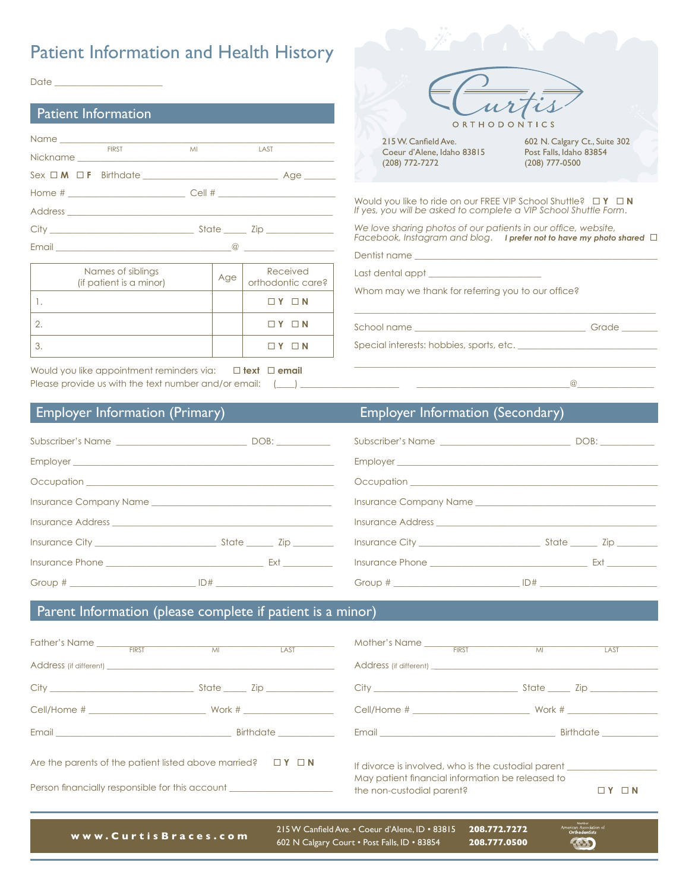## Patient Information and Health History

 $Date \_$ 

| <b>Patient Information</b>               |         |             |
|------------------------------------------|---------|-------------|
| <b>FIRST</b>                             | MI LAST |             |
| $Sex \Box M \Box F \quad Birthdate \_\_$ |         | Age _______ |
| Home $\#$ $\qquad \qquad$ Cell $\#$      |         |             |
|                                          |         |             |
| City State Zip                           |         |             |
|                                          |         |             |



Would you like appointment reminders via:  $\Box$  text  $\Box$  email Please provide us with the text number and/or email:  $(\_\_\_\_\_\_\_\_$ 

| ORTHODONTICS               |                               |
|----------------------------|-------------------------------|
| 215 W. Canfield Ave.       | 602 N. Calgary Ct., Suite 302 |
| Coeur d'Alene, Idaho 83815 | Post Falls, Idaho 83854       |
| (208) 772-7272             | (208) 777-0500                |

Would you like to ride on our FREE VIP School Shuttle?  $\Box Y \Box N$ *If yes, you will be asked to complete a VIP School Shuttle Form*.

*We love sharing photos of our patients in our office, website, Facebook, Instagram and blog*. *I prefer not to have my photo shared*

 $\mathcal{L}_\mathcal{L} = \mathcal{L}_\mathcal{L} = \mathcal{L}_\mathcal{L} = \mathcal{L}_\mathcal{L} = \mathcal{L}_\mathcal{L} = \mathcal{L}_\mathcal{L} = \mathcal{L}_\mathcal{L} = \mathcal{L}_\mathcal{L} = \mathcal{L}_\mathcal{L} = \mathcal{L}_\mathcal{L} = \mathcal{L}_\mathcal{L} = \mathcal{L}_\mathcal{L} = \mathcal{L}_\mathcal{L} = \mathcal{L}_\mathcal{L} = \mathcal{L}_\mathcal{L} = \mathcal{L}_\mathcal{L} = \mathcal{L}_\mathcal{L}$ 

 $\mathcal{L}_\mathcal{L} = \mathcal{L}_\mathcal{L} = \mathcal{L}_\mathcal{L} = \mathcal{L}_\mathcal{L} = \mathcal{L}_\mathcal{L} = \mathcal{L}_\mathcal{L} = \mathcal{L}_\mathcal{L} = \mathcal{L}_\mathcal{L} = \mathcal{L}_\mathcal{L} = \mathcal{L}_\mathcal{L} = \mathcal{L}_\mathcal{L} = \mathcal{L}_\mathcal{L} = \mathcal{L}_\mathcal{L} = \mathcal{L}_\mathcal{L} = \mathcal{L}_\mathcal{L} = \mathcal{L}_\mathcal{L} = \mathcal{L}_\mathcal{L}$ 

Dentist name

Last dental appt \_\_\_\_\_\_\_\_\_\_\_\_\_\_\_\_\_\_\_\_\_\_\_\_\_

Whom may we thank for referring you to our office?

School name \_\_\_\_\_\_\_\_\_\_\_\_\_\_\_\_\_\_\_\_\_\_\_\_\_\_\_\_\_\_\_\_\_\_\_\_\_\_ Grade \_\_\_\_\_\_\_\_

Special interests: hobbies, sports, etc. \_\_\_\_\_\_\_\_\_\_\_\_\_\_\_\_\_\_\_\_\_\_\_\_\_\_\_\_\_\_\_

## Employer Information (Primary) Employer Information (Secondary)

| Subscriber's Name                                                                                                                                                                                                                    |                                                                                                                                                                                                                                |  |  |
|--------------------------------------------------------------------------------------------------------------------------------------------------------------------------------------------------------------------------------------|--------------------------------------------------------------------------------------------------------------------------------------------------------------------------------------------------------------------------------|--|--|
|                                                                                                                                                                                                                                      |                                                                                                                                                                                                                                |  |  |
|                                                                                                                                                                                                                                      |                                                                                                                                                                                                                                |  |  |
| Insurance Company Name and the company of the company of the company of the company of the company of the company of the company of the company of the company of the company of the company of the company of the company of        |                                                                                                                                                                                                                                |  |  |
| Insurance Address <b>Executive Contract Contract Contract Contract Contract Contract Contract Contract Contract Contract Contract Contract Contract Contract Contract Contract Contract Contract Contract Contract Contract Cont</b> |                                                                                                                                                                                                                                |  |  |
| Insurance City State City State City                                                                                                                                                                                                 |                                                                                                                                                                                                                                |  |  |
| Insurance Phone <b>Executive Service Service Service Service Service Service Service Service Service Service Service Service Service Service Service Service Service Service Service Service Service Service Service Service Ser</b> | External contractors and contractors are all the second contractors and contractors are all the second contractors and contractors are all the second contractors are all the second contractors are all the second contractor |  |  |
|                                                                                                                                                                                                                                      | $ID#$ $\qquad \qquad$                                                                                                                                                                                                          |  |  |

## Parent Information (please complete if patient is a minor)

| Father's Name FIRST MI                                                                                                                                                                                                         |                                                                                                                                      | LAST                          |
|--------------------------------------------------------------------------------------------------------------------------------------------------------------------------------------------------------------------------------|--------------------------------------------------------------------------------------------------------------------------------------|-------------------------------|
|                                                                                                                                                                                                                                |                                                                                                                                      | State _____ Zip _____________ |
|                                                                                                                                                                                                                                |                                                                                                                                      |                               |
| Email Birthdate Birthdate Birthdate Birthdate Birthdate Birthdate Allen and the Birthdate Allen and the Birthdate Allen and the United States and the United States and the United States and the United States and the United | Email Birthdate                                                                                                                      |                               |
| Are the parents of the patient listed above married? $\Box Y \Box N$<br>Person financially responsible for this account ________________________________                                                                       | If divorce is involved, who is the custodial parent<br>May patient financial information be released to<br>the non-custodial parent? | ⊐ N                           |

**www.CurtisBraces.com** 215 W Canfield Ave. • Coeur d'Alene, ID • 83815 **208.772.7272** 602 N Calgary Court • Post Falls, ID • 83854

(金)